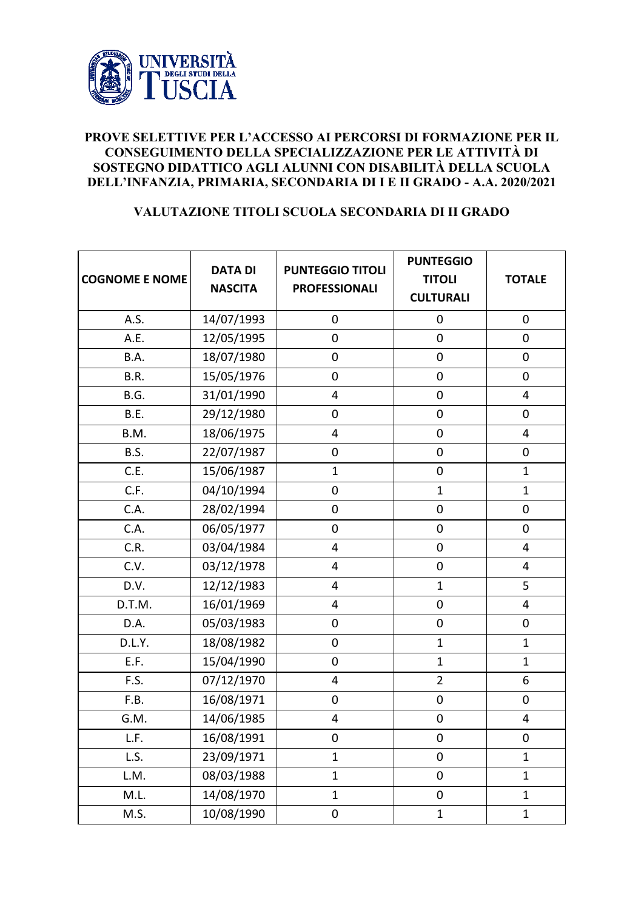

## **PROVE SELETTIVE PER L'ACCESSO AI PERCORSI DI FORMAZIONE PER IL CONSEGUIMENTO DELLA SPECIALIZZAZIONE PER LE ATTIVITÀ DI SOSTEGNO DIDATTICO AGLI ALUNNI CON DISABILITÀ DELLA SCUOLA DELL'INFANZIA, PRIMARIA, SECONDARIA DI I E II GRADO - A.A. 2020/2021**

## **VALUTAZIONE TITOLI SCUOLA SECONDARIA DI II GRADO**

| <b>COGNOME E NOME</b> | <b>DATA DI</b><br><b>NASCITA</b> | <b>PUNTEGGIO TITOLI</b><br><b>PROFESSIONALI</b> | <b>PUNTEGGIO</b><br><b>TITOLI</b><br><b>CULTURALI</b> | <b>TOTALE</b>           |
|-----------------------|----------------------------------|-------------------------------------------------|-------------------------------------------------------|-------------------------|
| A.S.                  | 14/07/1993                       | $\boldsymbol{0}$                                | $\mathbf 0$                                           | $\mathbf 0$             |
| A.E.                  | 12/05/1995                       | $\mathbf 0$                                     | $\boldsymbol{0}$                                      | $\boldsymbol{0}$        |
| B.A.                  | 18/07/1980                       | $\mathbf 0$                                     | $\boldsymbol{0}$                                      | $\mathbf 0$             |
| B.R.                  | 15/05/1976                       | $\mathbf 0$                                     | $\boldsymbol{0}$                                      | $\mathbf 0$             |
| B.G.                  | 31/01/1990                       | 4                                               | 0                                                     | $\overline{4}$          |
| B.E.                  | 29/12/1980                       | $\boldsymbol{0}$                                | $\boldsymbol{0}$                                      | $\mathbf 0$             |
| B.M.                  | 18/06/1975                       | $\overline{\mathbf{4}}$                         | $\boldsymbol{0}$                                      | $\overline{4}$          |
| B.S.                  | 22/07/1987                       | $\mathbf 0$                                     | $\boldsymbol{0}$                                      | $\mathbf 0$             |
| C.E.                  | 15/06/1987                       | $\mathbf{1}$                                    | $\boldsymbol{0}$                                      | $\mathbf{1}$            |
| C.F.                  | 04/10/1994                       | $\mathbf 0$                                     | $\mathbf{1}$                                          | $\mathbf{1}$            |
| C.A.                  | 28/02/1994                       | $\mathbf 0$                                     | $\boldsymbol{0}$                                      | $\mathbf 0$             |
| C.A.                  | 06/05/1977                       | $\mathbf 0$                                     | $\boldsymbol{0}$                                      | $\mathbf 0$             |
| C.R.                  | 03/04/1984                       | $\overline{\mathbf{4}}$                         | $\boldsymbol{0}$                                      | 4                       |
| C.V.                  | 03/12/1978                       | $\overline{\mathbf{4}}$                         | $\mathbf 0$                                           | $\overline{\mathbf{4}}$ |
| D.V.                  | 12/12/1983                       | 4                                               | $\mathbf{1}$                                          | 5                       |
| D.T.M.                | 16/01/1969                       | 4                                               | $\boldsymbol{0}$                                      | $\overline{4}$          |
| D.A.                  | 05/03/1983                       | $\boldsymbol{0}$                                | $\boldsymbol{0}$                                      | $\boldsymbol{0}$        |
| D.L.Y.                | 18/08/1982                       | $\mathbf 0$                                     | $\mathbf{1}$                                          | $\mathbf{1}$            |
| E.F.                  | 15/04/1990                       | $\mathbf 0$                                     | $\mathbf{1}$                                          | $\mathbf{1}$            |
| F.S.                  | 07/12/1970                       | 4                                               | $\overline{2}$                                        | $6\,$                   |
| F.B.                  | 16/08/1971                       | $\boldsymbol{0}$                                | $\boldsymbol{0}$                                      | $\mathbf 0$             |
| G.M.                  | 14/06/1985                       | 4                                               | $\pmb{0}$                                             | $\overline{\mathbf{4}}$ |
| L.F.                  | 16/08/1991                       | $\boldsymbol{0}$                                | 0                                                     | $\pmb{0}$               |
| L.S.                  | 23/09/1971                       | $\mathbf{1}$                                    | 0                                                     | $\mathbf{1}$            |
| L.M.                  | 08/03/1988                       | $\mathbf{1}$                                    | $\boldsymbol{0}$                                      | $\mathbf{1}$            |
| M.L.                  | 14/08/1970                       | $\mathbf{1}$                                    | $\mathbf 0$                                           | $\mathbf{1}$            |
| M.S.                  | 10/08/1990                       | $\pmb{0}$                                       | $\mathbf{1}$                                          | $\mathbf{1}$            |